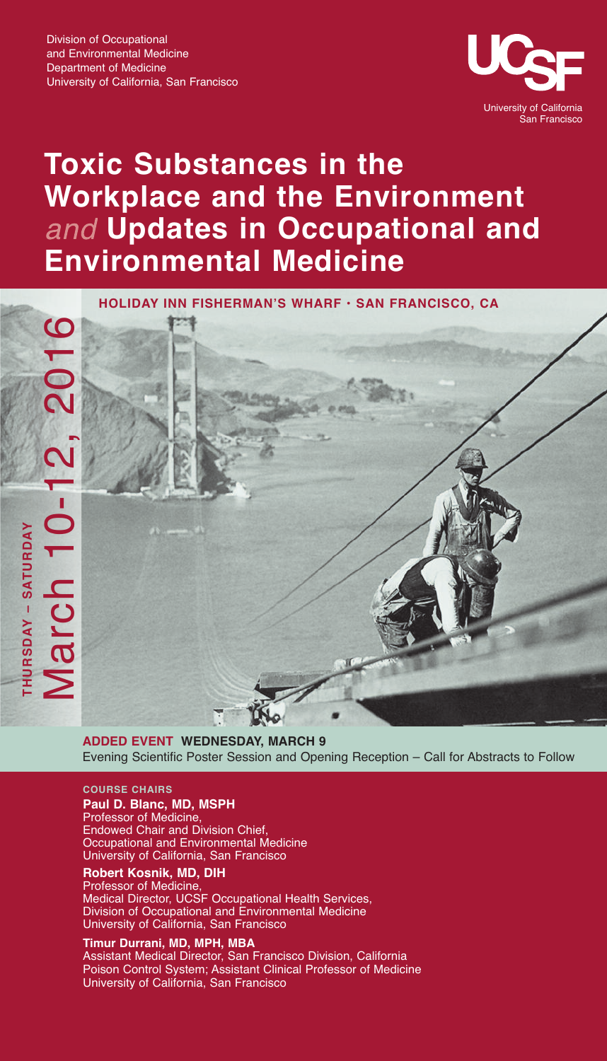

# **Toxic Substances in the Workplace and the Environment Updates in Occupational and Environmental Medicine**

**HOLIDAY INN FISHERMAN'S WHARF • SAN FRANCISCO, CA**



**ADDED EVENT WEDNESDAY, MARCH 9** Evening Scientific Poster Session and Opening Reception – Call for Abstracts to Follow

## **COURSE CHAIRS**

**Paul D. Blanc, MD, MSPH**

Professor of Medicine, Endowed Chair and Division Chief, Occupational and Environmental Medicine University of California, San Francisco

**Robert Kosnik, MD, DIH**

Professor of Medicine, Medical Director, UCSF Occupational Health Services, Division of Occupational and Environmental Medicine University of California, San Francisco

### **Timur Durrani, MD, MPH, MBA**

Assistant Medical Director, San Francisco Division, California Poison Control System; Assistant Clinical Professor of Medicine University of California, San Francisco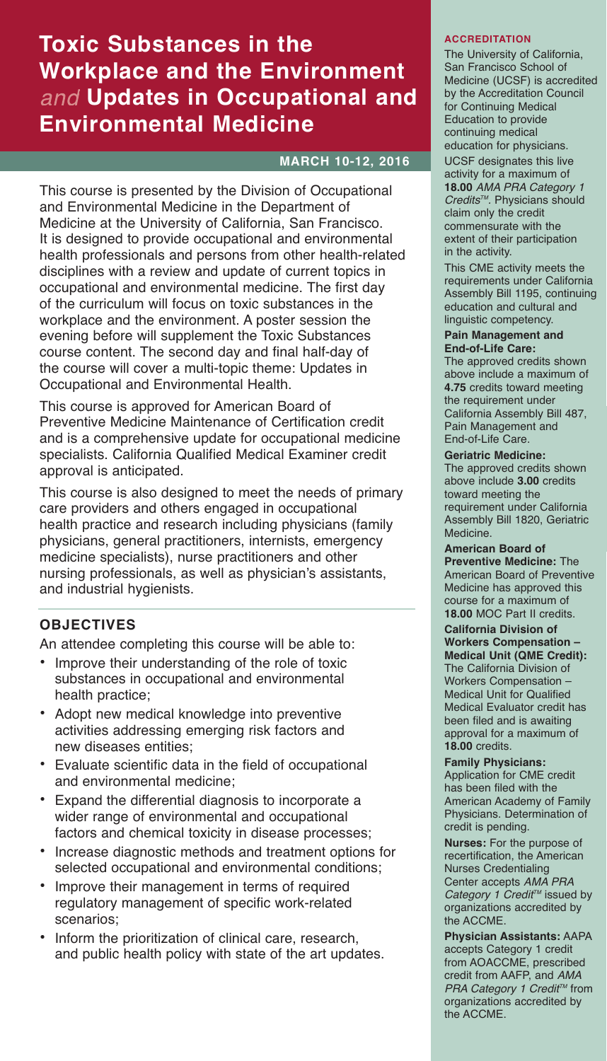# **Toxic Substances in the Workplace and the Environment Updates in Occupational and Environmental Medicine**

# **MARCH 10-12, 2016**

This course is presented by the Division of Occupational and Environmental Medicine in the Department of Medicine at the University of California, San Francisco. It is designed to provide occupational and environmental health professionals and persons from other health-related disciplines with a review and update of current topics in occupational and environmental medicine. The first day of the curriculum will focus on toxic substances in the workplace and the environment. A poster session the evening before will supplement the Toxic Substances course content. The second day and final half-day of the course will cover a multi-topic theme: Updates in Occupational and Environmental Health.

This course is approved for American Board of Preventive Medicine Maintenance of Certification credit and is a comprehensive update for occupational medicine specialists. California Qualified Medical Examiner credit approval is anticipated.

This course is also designed to meet the needs of primary care providers and others engaged in occupational health practice and research including physicians (family physicians, general practitioners, internists, emergency medicine specialists), nurse practitioners and other nursing professionals, as well as physician's assistants, and industrial hygienists.

# **OBJECTIVES**

An attendee completing this course will be able to:

- Improve their understanding of the role of toxic substances in occupational and environmental health practice;
- Adopt new medical knowledge into preventive activities addressing emerging risk factors and new diseases entities;
- Evaluate scientific data in the field of occupational and environmental medicine;
- Expand the differential diagnosis to incorporate a wider range of environmental and occupational factors and chemical toxicity in disease processes;
- Increase diagnostic methods and treatment options for selected occupational and environmental conditions;
- Improve their management in terms of required regulatory management of specific work-related scenarios;
- Inform the prioritization of clinical care, research, and public health policy with state of the art updates.

# **ACCREDITATION**

The University of California, San Francisco School of Medicine (UCSF) is accredited by the Accreditation Council for Continuing Medical Education to provide continuing medical education for physicians. UCSF designates this live activity for a maximum of **18.00** *AMA PRA Category 1 CreditsTM.* Physicians should claim only the credit commensurate with the extent of their participation in the activity.

This CME activity meets the requirements under California Assembly Bill 1195, continuing education and cultural and linguistic competency.

### **Pain Management and End-of-Life Care:**

The approved credits shown above include a maximum of **4.75** credits toward meeting the requirement under California Assembly Bill 487, Pain Management and End-of-Life Care.

## **Geriatric Medicine:**

The approved credits shown above include **3.00** credits toward meeting the requirement under California Assembly Bill 1820, Geriatric Medicine.

**American Board of Preventive Medicine:** The

American Board of Preventive Medicine has approved this course for a maximum of **18.00** MOC Part II credits.

# **California Division of Workers Compensation –**

**Medical Unit (QME Credit):** The California Division of Workers Compensation – Medical Unit for Qualified Medical Evaluator credit has been filed and is awaiting approval for a maximum of **18.00** credits.

**Family Physicians:** Application for CME credit

has been filed with the American Academy of Family Physicians. Determination of credit is pending.

**Nurses:** For the purpose of recertification, the American Nurses Credentialing Center accepts *AMA PRA Category 1 Credit TM* issued by organizations accredited by the ACCME.

**Physician Assistants:** AAPA accepts Category 1 credit from AOACCME, prescribed credit from AAFP, and *AMA PRA Category* 1 *Credit™* from organizations accredited by the ACCME.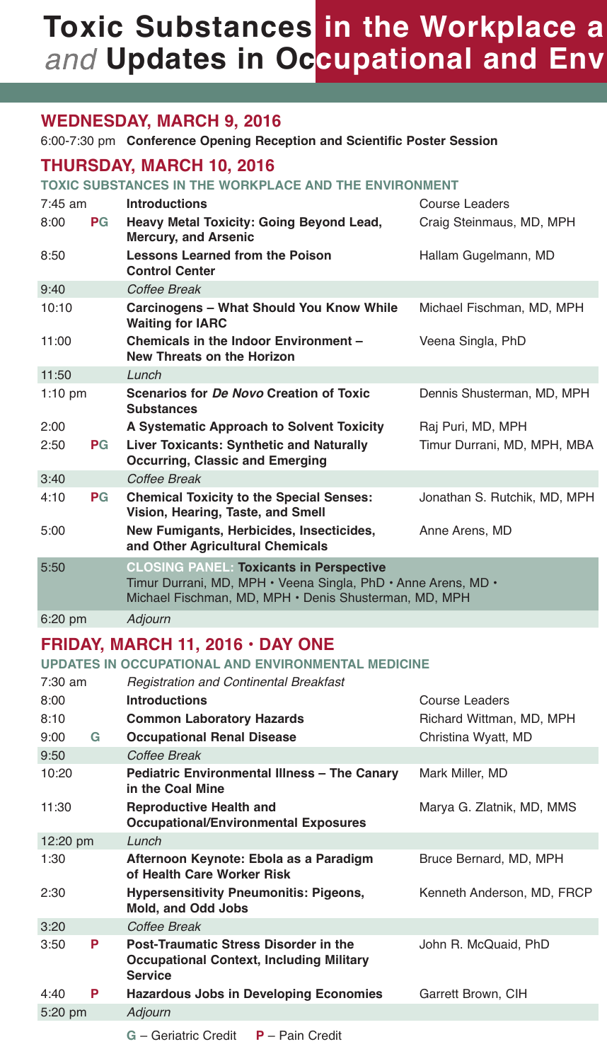# **Toxic Substances in the Workplace a Updates in Occupational and Env**

# **WEDNESDAY, MARCH 9, 2016**

6:00-7:30 pm **Conference Opening Reception and Scientific Poster Session**

# **THURSDAY, MARCH 10, 2016**

**TOXIC SUBSTANCES IN THE WORKPLACE AND THE ENVIRONMENT**

| $7:45$ am         |           | <b>Introductions</b>                                                                                                                                                     | Course Leaders               |  |  |
|-------------------|-----------|--------------------------------------------------------------------------------------------------------------------------------------------------------------------------|------------------------------|--|--|
| 8:00              | PG        | Heavy Metal Toxicity: Going Beyond Lead,<br><b>Mercury, and Arsenic</b>                                                                                                  | Craig Steinmaus, MD, MPH     |  |  |
| 8:50              |           | <b>Lessons Learned from the Poison</b><br><b>Control Center</b>                                                                                                          | Hallam Gugelmann, MD         |  |  |
| 9:40              |           | Coffee Break                                                                                                                                                             |                              |  |  |
| 10:10             |           | Carcinogens - What Should You Know While<br><b>Waiting for IARC</b>                                                                                                      | Michael Fischman, MD, MPH    |  |  |
| 11:00             |           | Chemicals in the Indoor Environment -<br><b>New Threats on the Horizon</b>                                                                                               | Veena Singla, PhD            |  |  |
| 11:50             |           | Lunch                                                                                                                                                                    |                              |  |  |
| $1:10 \text{ pm}$ |           | Scenarios for De Novo Creation of Toxic<br><b>Substances</b>                                                                                                             | Dennis Shusterman, MD, MPH   |  |  |
| 2:00              |           | A Systematic Approach to Solvent Toxicity                                                                                                                                | Raj Puri, MD, MPH            |  |  |
| 2:50              | PG        | <b>Liver Toxicants: Synthetic and Naturally</b><br><b>Occurring, Classic and Emerging</b>                                                                                | Timur Durrani, MD, MPH, MBA  |  |  |
| 3:40              |           | Coffee Break                                                                                                                                                             |                              |  |  |
| 4:10              | <b>PG</b> | <b>Chemical Toxicity to the Special Senses:</b><br>Vision, Hearing, Taste, and Smell                                                                                     | Jonathan S. Rutchik, MD, MPH |  |  |
| 5:00              |           | New Fumigants, Herbicides, Insecticides,<br>and Other Agricultural Chemicals                                                                                             | Anne Arens, MD               |  |  |
| 5:50              |           | <b>CLOSING PANEL: Toxicants in Perspective</b><br>Timur Durrani, MD, MPH · Veena Singla, PhD · Anne Arens, MD ·<br>Michael Fischman, MD, MPH · Denis Shusterman, MD, MPH |                              |  |  |
| $6:20$ pm         |           | Adjourn                                                                                                                                                                  |                              |  |  |

# **FRIDAY, MARCH 11, 2016 • DAY ONE**

**UPDATES IN OCCUPATIONAL AND ENVIRONMENTAL MEDICINE**

| 7:30 am                   |   | <b>Registration and Continental Breakfast</b>                                                              |                            |  |
|---------------------------|---|------------------------------------------------------------------------------------------------------------|----------------------------|--|
| 8:00                      |   | <b>Introductions</b>                                                                                       | Course Leaders             |  |
| 8:10                      |   | <b>Common Laboratory Hazards</b>                                                                           | Richard Wittman, MD, MPH   |  |
| 9:00                      | G | <b>Occupational Renal Disease</b>                                                                          | Christina Wyatt, MD        |  |
| 9:50                      |   | Coffee Break                                                                                               |                            |  |
| 10:20<br>in the Coal Mine |   | <b>Pediatric Environmental Illness - The Canary</b>                                                        | Mark Miller, MD            |  |
| 11:30                     |   | <b>Reproductive Health and</b><br><b>Occupational/Environmental Exposures</b>                              | Marya G. Zlatnik, MD, MMS  |  |
| $12:20 \text{ pm}$        |   | Lunch                                                                                                      |                            |  |
| 1:30                      |   | Afternoon Keynote: Ebola as a Paradigm<br>of Health Care Worker Risk                                       | Bruce Bernard, MD, MPH     |  |
| 2:30                      |   | <b>Hypersensitivity Pneumonitis: Pigeons,</b><br><b>Mold, and Odd Jobs</b>                                 | Kenneth Anderson, MD, FRCP |  |
| 3:20                      |   | Coffee Break                                                                                               |                            |  |
| 3:50                      | P | Post-Traumatic Stress Disorder in the<br><b>Occupational Context, Including Military</b><br><b>Service</b> | John R. McQuaid, PhD       |  |
| 4:40                      | P | <b>Hazardous Jobs in Developing Economies</b>                                                              | Garrett Brown, CIH         |  |
| 5:20 pm                   |   | Adjourn                                                                                                    |                            |  |
|                           |   |                                                                                                            |                            |  |

**G** – Geriatric Credit **P** – Pain Credit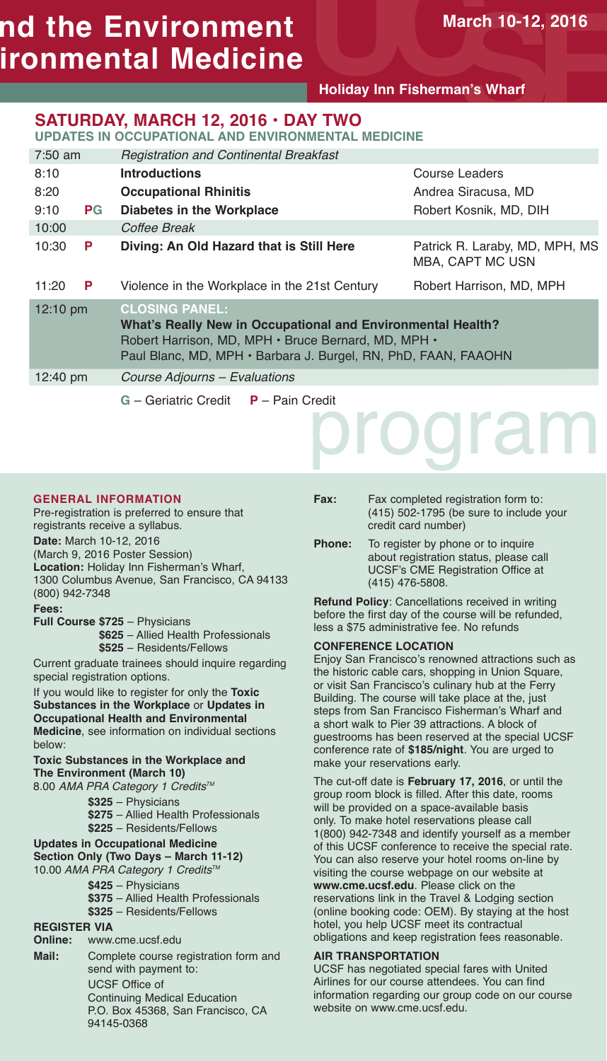# **nd the Environment ironmental Medicine**

**Holiday Inn Fisherman's Wharf**

# **SATURDAY, MARCH 12, 2016 • DAY TWO**

**UPDATES IN OCCUPATIONAL AND ENVIRONMENTAL MEDICINE**

| $7:50$ am          |       | <b>Registration and Continental Breakfast</b>                                                                                                                                                                 |                                                    |  |  |
|--------------------|-------|---------------------------------------------------------------------------------------------------------------------------------------------------------------------------------------------------------------|----------------------------------------------------|--|--|
| 8:10               |       | <b>Introductions</b>                                                                                                                                                                                          | Course Leaders                                     |  |  |
| 8:20               |       | <b>Occupational Rhinitis</b>                                                                                                                                                                                  | Andrea Siracusa, MD                                |  |  |
| 9:10               | $P$ G | Diabetes in the Workplace                                                                                                                                                                                     | Robert Kosnik, MD, DIH                             |  |  |
| 10:00              |       | Coffee Break                                                                                                                                                                                                  |                                                    |  |  |
| 10:30              | P     | Diving: An Old Hazard that is Still Here                                                                                                                                                                      | Patrick R. Laraby, MD, MPH, MS<br>MBA, CAPT MC USN |  |  |
| 11:20              | P     | Violence in the Workplace in the 21st Century                                                                                                                                                                 | Robert Harrison, MD, MPH                           |  |  |
| $12:10 \text{ pm}$ |       | <b>CLOSING PANEL:</b><br>What's Really New in Occupational and Environmental Health?<br>Robert Harrison, MD, MPH · Bruce Bernard, MD, MPH ·<br>Paul Blanc, MD, MPH · Barbara J. Burgel, RN, PhD, FAAN, FAAOHN |                                                    |  |  |
| 12:40 pm           |       | Course Adjourns - Evaluations                                                                                                                                                                                 |                                                    |  |  |
|                    |       | $P -$ Pain Credit<br>G - Geriatric Credit                                                                                                                                                                     |                                                    |  |  |

## **GENERAL INFORMATION**

Pre-registration is preferred to ensure that registrants receive a syllabus. **Date:** March 10-12, 2016 (March 9, 2016 Poster Session) **Location:** Holiday Inn Fisherman's Wharf, 1300 Columbus Avenue, San Francisco, CA 94133

(800) 942-7348 **Fees:**

**Full Course \$725** – Physicians **\$625** – Allied Health Professionals **\$525** – Residents/Fellows

Current graduate trainees should inquire regarding special registration options.

If you would like to register for only the **Toxic Substances in the Workplace** or **Updates in Occupational Health and Environmental Medicine**, see information on individual sections below:

### **Toxic Substances in the Workplace and The Environment (March 10)**

- 8.00 *AMA PRA Category 1 CreditsTM*
	- **\$325** Physicians
	- **\$275** Allied Health Professionals
	- **\$225** Residents/Fellows
- **Updates in Occupational Medicine Section Only (Two Days – March 11-12)** 10.00 AMA PRA Category 1 Credits<sup>™</sup>
	- **\$425** Physicians
	- **\$375** Allied Health Professionals
	- **\$325** Residents/Fellows

# **REGISTER VIA**

**Online:** www.cme.ucsf.edu **Mail:** Complete course registration form and send with payment to: UCSF Office of Continuing Medical Education P.O. Box 45368, San Francisco, CA 94145-0368

**Fax:** Fax completed registration form to: (415) 502-1795 (be sure to include your credit card number)

oral

**Phone:** To register by phone or to inquire about registration status, please call UCSF's CME Registration Office at (415) 476-5808.

**Refund Policy**: Cancellations received in writing before the first day of the course will be refunded, less a \$75 administrative fee. No refunds

## **CONFERENCE LOCATION**

Enjoy San Francisco's renowned attractions such as the historic cable cars, shopping in Union Square, or visit San Francisco's culinary hub at the Ferry Building. The course will take place at the, just steps from San Francisco Fisherman's Wharf and a short walk to Pier 39 attractions. A block of guestrooms has been reserved at the special UCSF conference rate of **\$185/night**. You are urged to make your reservations early.

The cut-off date is **February 17, 2016**, or until the group room block is filled. After this date, rooms will be provided on a space-available basis only. To make hotel reservations please call 1(800) 942-7348 and identify yourself as a member of this UCSF conference to receive the special rate. You can also reserve your hotel rooms on-line by visiting the course webpage on our website at **www.cme.ucsf.edu**. Please click on the reservations link in the Travel & Lodging section (online booking code: OEM). By staying at the host hotel, you help UCSF meet its contractual obligations and keep registration fees reasonable.

## **AIR TRANSPORTATION**

UCSF has negotiated special fares with United Airlines for our course attendees. You can find information regarding our group code on our course website on www.cme.ucsf.edu.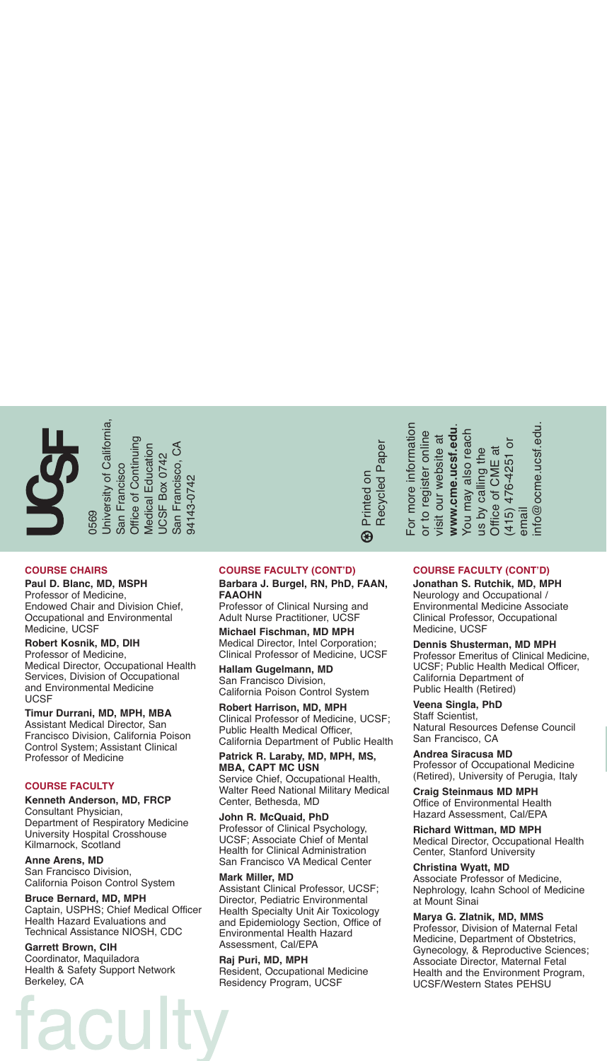University of California, **Jniversity of California** Office of Continuing Office of Continuing A *Medical* Education Medical Education San Francisco, C SF Box 0742 San Francisco San Francisco 4143-0742 94143-0742 0569 UC

#### **COURSE CHAIRS**

#### **Paul D. Blanc, MD, MSPH**

Professor of Medicine, Endowed Chair and Division Chief, Occupational and Environmental Medicine, UCSF

#### **Robert Kosnik, MD, DIH**

Professor of Medicine, Medical Director, Occupational Health Services, Division of Occupational and Environmental Medicine UCSF

#### **Timur Durrani, MD, MPH, MBA**

Assistant Medical Director, San Francisco Division, California Poison Control System; Assistant Clinical Professor of Medicine

#### **COURSE FACULTY**

**Kenneth Anderson, MD, FRCP** Consultant Physician, Department of Respiratory Medicine University Hospital Crosshouse Kilmarnock, Scotland

### **Anne Arens, MD**

San Francisco Division, California Poison Control System

## **Bruce Bernard, MD, MPH**

Captain, USPHS; Chief Medical Officer Health Hazard Evaluations and Technical Assistance NIOSH, CDC

#### **Garrett Brown, CIH**

Coordinator, Maquiladora Health & Safety Support Network Berkeley, CA

## **COURSE FACULTY (CONT'D)**

#### **Barbara J. Burgel, RN, PhD, FAAN, FAAOHN**

Professor of Clinical Nursing and Adult Nurse Practitioner, UCSF

**Michael Fischman, MD MPH** Medical Director, Intel Corporation; Clinical Professor of Medicine, UCSF

**Hallam Gugelmann, MD** San Francisco Division, California Poison Control System

**Robert Harrison, MD, MPH** Clinical Professor of Medicine, UCSF; Public Health Medical Officer, California Department of Public Health

#### **Patrick R. Laraby, MD, MPH, MS, MBA, CAPT MC USN**

Service Chief, Occupational Health, Walter Reed National Military Medical Center, Bethesda, MD

**John R. McQuaid, PhD** Professor of Clinical Psychology, UCSF; Associate Chief of Mental Health for Clinical Administration San Francisco VA Medical Center

#### **Mark Miller, MD**

Assistant Clinical Professor, UCSF; Director, Pediatric Environmental Health Specialty Unit Air Toxicology and Epidemiology Section, Office of Environmental Health Hazard Assessment, Cal/EPA

#### **Raj Puri, MD, MPH** Resident, Occupational Medicine Residency Program, UCSF

### **COURSE FACULTY (CONT'D)**

**ww**

**w.cme.ucsf.edu**. You may also reach us by calling the Office of C

visit our website at

You may also reach

is by calling the

For more information or to register online visit our website at

For more information or to register online

**B** Printed on Printed on Recycled Paper

Recycled Paper

**Jonathan S. Rutchik, MD, MPH** Neurology and Occupational / Environmental Medicine Associate Clinical Professor, Occupational Medicine, UCSF

ME at

(415) 476-4251 or

415) 476-4251 or

email

info@ocme.ucsf.edu.

 $110@$  ocme.ucst.edu

#### **Dennis Shusterman, MD MPH**

Professor Emeritus of Clinical Medicine, UCSF; Public Health Medical Officer, California Department of Public Health (Retired)

**Veena Singla, PhD** Staff Scientist, Natural Resources Defense Council San Francisco, CA

**Andrea Siracusa MD** Professor of Occupational Medicine (Retired), University of Perugia, Italy

**Craig Steinmaus MD MPH** Office of Environmental Health Hazard Assessment, Cal/EPA

**Richard Wittman, MD MPH** Medical Director, Occupational Health Center, Stanford University

**Christina Wyatt, MD** Associate Professor of Medicine, Nephrology, Icahn School of Medicine at Mount Sinai

#### **Marya G. Zlatnik, MD, MMS**

Professor, Division of Maternal Fetal Medicine, Department of Obstetrics, Gynecology, & Reproductive Sciences; Associate Director, Maternal Fetal Health and the Environment Program, UCSF/Western States PEHSU